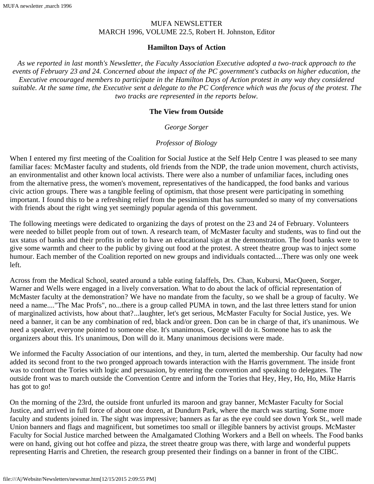#### MUFA NEWSLETTER MARCH 1996, VOLUME 22.5, Robert H. Johnston, Editor

#### **Hamilton Days of Action**

*As we reported in last month's Newsletter, the Faculty Association Executive adopted a two-track approach to the events of February 23 and 24. Concerned about the impact of the PC government's cutbacks on higher education, the Executive encouraged members to participate in the Hamilton Days of Action protest in any way they considered suitable. At the same time, the Executive sent a delegate to the PC Conference which was the focus of the protest. The two tracks are represented in the reports below.*

#### **The View from Outside**

#### *George Sorger*

### *Professor of Biology*

When I entered my first meeting of the Coalition for Social Justice at the Self Help Centre I was pleased to see many familiar faces: McMaster faculty and students, old friends from the NDP, the trade union movement, church activists, an environmentalist and other known local activists. There were also a number of unfamiliar faces, including ones from the alternative press, the women's movement, representatives of the handicapped, the food banks and various civic action groups. There was a tangible feeling of optimism, that those present were participating in something important. I found this to be a refreshing relief from the pessimism that has surrounded so many of my conversations with friends about the right wing yet seemingly popular agenda of this government.

The following meetings were dedicated to organizing the days of protest on the 23 and 24 of February. Volunteers were needed to billet people from out of town. A research team, of McMaster faculty and students, was to find out the tax status of banks and their profits in order to have an educational sign at the demonstration. The food banks were to give some warmth and cheer to the public by giving out food at the protest. A street theatre group was to inject some humour. Each member of the Coalition reported on new groups and individuals contacted....There was only one week left.

Across from the Medical School, seated around a table eating falaffels, Drs. Chan, Kubursi, MacQueen, Sorger, Warner and Wells were engaged in a lively conversation. What to do about the lack of official representation of McMaster faculty at the demonstration? We have no mandate from the faculty, so we shall be a group of faculty. We need a name...."The Mac Profs", no...there is a group called PUMA in town, and the last three letters stand for union of marginalized activists, how about that?...laughter, let's get serious, McMaster Faculty for Social Justice, yes. We need a banner, it can be any combination of red, black and/or green. Don can be in charge of that, it's unanimous. We need a speaker, everyone pointed to someone else. It's unanimous, George will do it. Someone has to ask the organizers about this. It's unanimous, Don will do it. Many unanimous decisions were made.

We informed the Faculty Association of our intentions, and they, in turn, alerted the membership. Our faculty had now added its second front to the two pronged approach towards interaction with the Harris government. The inside front was to confront the Tories with logic and persuasion, by entering the convention and speaking to delegates. The outside front was to march outside the Convention Centre and inform the Tories that Hey, Hey, Ho, Ho, Mike Harris has got to go!

On the morning of the 23rd, the outside front unfurled its maroon and gray banner, McMaster Faculty for Social Justice, and arrived in full force of about one dozen, at Dundurn Park, where the march was starting. Some more faculty and students joined in. The sight was impressive; banners as far as the eye could see down York St., well made Union banners and flags and magnificent, but sometimes too small or illegible banners by activist groups. McMaster Faculty for Social Justice marched between the Amalgamated Clothing Workers and a Bell on wheels. The Food banks were on hand, giving out hot coffee and pizza, the street theatre group was there, with large and wonderful puppets representing Harris and Chretien, the research group presented their findings on a banner in front of the CIBC.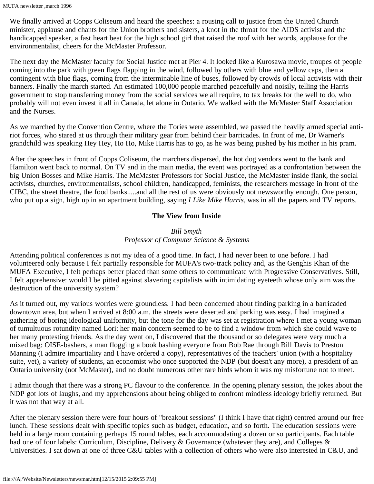We finally arrived at Copps Coliseum and heard the speeches: a rousing call to justice from the United Church minister, applause and chants for the Union brothers and sisters, a knot in the throat for the AIDS activist and the handicapped speaker, a fast heart beat for the high school girl that raised the roof with her words, applause for the environmentalist, cheers for the McMaster Professor.

The next day the McMaster faculty for Social Justice met at Pier 4. It looked like a Kurosawa movie, troupes of people coming into the park with green flags flapping in the wind, followed by others with blue and yellow caps, then a contingent with blue flags, coming from the interminable line of buses, followed by crowds of local activists with their banners. Finally the march started. An estimated 100,000 people marched peacefully and noisily, telling the Harris government to stop transferring money from the social services we all require, to tax breaks for the well to do, who probably will not even invest it all in Canada, let alone in Ontario. We walked with the McMaster Staff Association and the Nurses.

As we marched by the Convention Centre, where the Tories were assembled, we passed the heavily armed special antiriot forces, who stared at us through their military gear from behind their barricades. In front of me, Dr Warner's grandchild was speaking Hey Hey, Ho Ho, Mike Harris has to go, as he was being pushed by his mother in his pram.

After the speeches in front of Copps Coliseum, the marchers dispersed, the hot dog vendors went to the bank and Hamilton went back to normal. On TV and in the main media, the event was portrayed as a confrontation between the big Union Bosses and Mike Harris. The McMaster Professors for Social Justice, the McMaster inside flank, the social activists, churches, environmentalists, school children, handicapped, feminists, the researchers message in front of the CIBC, the street theatre, the food banks.....and all the rest of us were obviously not newsworthy enough. One person, who put up a sign, high up in an apartment building, saying *I Like Mike Harris*, was in all the papers and TV reports.

#### **The View from Inside**

## *Bill Smyth Professor of Computer Science & Systems*

Attending political conferences is not my idea of a good time. In fact, I had never been to one before. I had volunteered only because I felt partially responsible for MUFA's two-track policy and, as the Genghis Khan of the MUFA Executive, I felt perhaps better placed than some others to communicate with Progressive Conservatives. Still, I felt apprehensive: would I be pitted against slavering capitalists with intimidating eyeteeth whose only aim was the destruction of the university system?

As it turned out, my various worries were groundless. I had been concerned about finding parking in a barricaded downtown area, but when I arrived at 8:00 a.m. the streets were deserted and parking was easy. I had imagined a gathering of boring ideological uniformity, but the tone for the day was set at registration where I met a young woman of tumultuous rotundity named Lori: her main concern seemed to be to find a window from which she could wave to her many protesting friends. As the day went on, I discovered that the thousand or so delegates were very much a mixed bag: OISE-bashers, a man flogging a book bashing everyone from Bob Rae through Bill Davis to Preston Manning (I admire impartiality and I have ordered a copy), representatives of the teachers' union (with a hospitality suite, yet), a variety of students, an economist who once supported the NDP (but doesn't any more), a president of an Ontario university (not McMaster), and no doubt numerous other rare birds whom it was my misfortune not to meet.

I admit though that there was a strong PC flavour to the conference. In the opening plenary session, the jokes about the NDP got lots of laughs, and my apprehensions about being obliged to confront mindless ideology briefly returned. But it was not that way at all.

After the plenary session there were four hours of "breakout sessions" (I think I have that right) centred around our free lunch. These sessions dealt with specific topics such as budget, education, and so forth. The education sessions were held in a large room containing perhaps 15 round tables, each accommodating a dozen or so participants. Each table had one of four labels: Curriculum, Discipline, Delivery & Governance (whatever they are), and Colleges & Universities. I sat down at one of three C&U tables with a collection of others who were also interested in C&U, and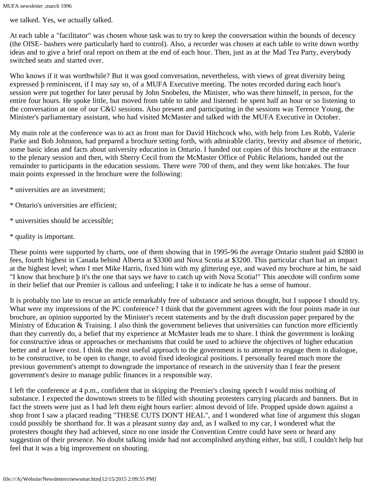we talked. Yes, we actually talked.

At each table a "facilitator" was chosen whose task was to try to keep the conversation within the bounds of decency (the OISE- bashers were particularly hard to control). Also, a recorder was chosen at each table to write down worthy ideas and to give a brief oral report on them at the end of each hour. Then, just as at the Mad Tea Party, everybody switched seats and started over.

Who knows if it was worthwhile? But it was good conversation, nevertheless, with views of great diversity being expressed þ reminiscent, if I may say so, of a MUFA Executive meeting. The notes recorded during each hour's session were put together for later perusal by John Snobelen, the Minister, who was there himself, in person, for the entire four hours. He spoke little, but moved from table to table and listened: he spent half an hour or so listening to the conversation at one of our C&U sessions. Also present and participating in the sessions was Terence Young, the Minister's parliamentary assistant, who had visited McMaster and talked with the MUFA Executive in October.

My main role at the conference was to act as front man for David Hitchcock who, with help from Les Robb, Valerie Parke and Bob Johnston, had prepared a brochure setting forth, with admirable clarity, brevity and absence of rhetoric, some basic ideas and facts about university education in Ontario. I handed out copies of this brochure at the entrance to the plenary session and then, with Sherry Cecil from the McMaster Office of Public Relations, handed out the remainder to participants in the education sessions. There were 700 of them, and they went like hotcakes. The four main points expressed in the brochure were the following:

- \* universities are an investment;
- \* Ontario's universities are efficient;
- \* universities should be accessible;
- \* quality is important.

These points were supported by charts, one of them showing that in 1995-96 the average Ontario student paid \$2800 in fees, fourth highest in Canada behind Alberta at \$3300 and Nova Scotia at \$3200. This particular chart had an impact at the highest level; when I met Mike Harris, fixed him with my glittering eye, and waved my brochure at him, he said "I know that brochure þ it's the one that says we have to catch up with Nova Scotia!" This anecdote will confirm some in their belief that our Premier is callous and unfeeling; I take it to indicate he has a sense of humour.

It is probably too late to rescue an article remarkably free of substance and serious thought, but I suppose I should try. What were my impressions of the PC conference? I think that the government agrees with the four points made in our brochure, an opinion supported by the Minister's recent statements and by the draft discussion paper prepared by the Ministry of Education & Training. I also think the government believes that universities can function more efficiently than they currently do, a belief that my experience at McMaster leads me to share. I think the government is looking for constructive ideas or approaches or mechanisms that could be used to achieve the objectives of higher education better and at lower cost. I think the most useful approach to the government is to attempt to engage them in dialogue, to be constructive, to be open to change, to avoid fixed ideological positions. I personally feared much more the previous government's attempt to downgrade the importance of research in the university than I fear the present government's desire to manage public finances in a responsible way.

I left the conference at 4 p.m., confident that in skipping the Premier's closing speech I would miss nothing of substance. I expected the downtown streets to be filled with shouting protesters carrying placards and banners. But in fact the streets were just as I had left them eight hours earlier: almost devoid of life. Propped upside down against a shop front I saw a placard reading "THESE CUTS DON'T HEAL", and I wondered what line of argument this slogan could possibly be shorthand for. It was a pleasant sunny day and, as I walked to my car, I wondered what the protesters thought they had achieved, since no one inside the Convention Centre could have seen or heard any suggestion of their presence. No doubt talking inside had not accomplished anything either, but still, I couldn't help but feel that it was a big improvement on shouting.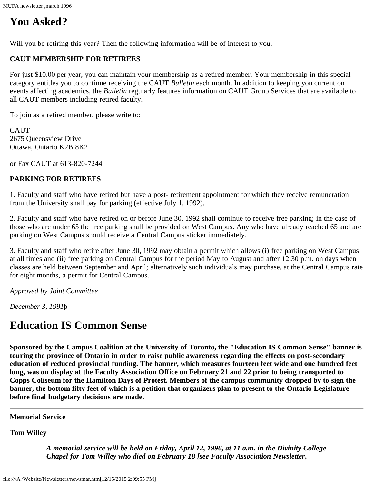MUFA newsletter ,march 1996

# **You Asked?**

Will you be retiring this year? Then the following information will be of interest to you.

#### **CAUT MEMBERSHIP FOR RETIREES**

For just \$10.00 per year, you can maintain your membership as a retired member. Your membership in this special category entitles you to continue receiving the CAUT *Bulletin* each month. In addition to keeping you current on events affecting academics, the *Bulletin* regularly features information on CAUT Group Services that are available to all CAUT members including retired faculty.

To join as a retired member, please write to:

CAUT 2675 Queensview Drive Ottawa, Ontario K2B 8K2

or Fax CAUT at 613-820-7244

#### **PARKING FOR RETIREES**

1. Faculty and staff who have retired but have a post- retirement appointment for which they receive remuneration from the University shall pay for parking (effective July 1, 1992).

2. Faculty and staff who have retired on or before June 30, 1992 shall continue to receive free parking; in the case of those who are under 65 the free parking shall be provided on West Campus. Any who have already reached 65 and are parking on West Campus should receive a Central Campus sticker immediately.

3. Faculty and staff who retire after June 30, 1992 may obtain a permit which allows (i) free parking on West Campus at all times and (ii) free parking on Central Campus for the period May to August and after 12:30 p.m. on days when classes are held between September and April; alternatively such individuals may purchase, at the Central Campus rate for eight months, a permit for Central Campus.

*Approved by Joint Committee*

*December 3, 1991*þ

# **Education IS Common Sense**

**Sponsored by the Campus Coalition at the University of Toronto, the "Education IS Common Sense" banner is touring the province of Ontario in order to raise public awareness regarding the effects on post-secondary education of reduced provincial funding. The banner, which measures fourteen feet wide and one hundred feet long, was on display at the Faculty Association Office on February 21 and 22 prior to being transported to Copps Coliseum for the Hamilton Days of Protest. Members of the campus community dropped by to sign the banner, the bottom fifty feet of which is a petition that organizers plan to present to the Ontario Legislature before final budgetary decisions are made.**

**Memorial Service**

**Tom Willey**

*A memorial service will be held on Friday, April 12, 1996, at 11 a.m. in the Divinity College Chapel for Tom Willey who died on February 18 [see Faculty Association Newsletter,*